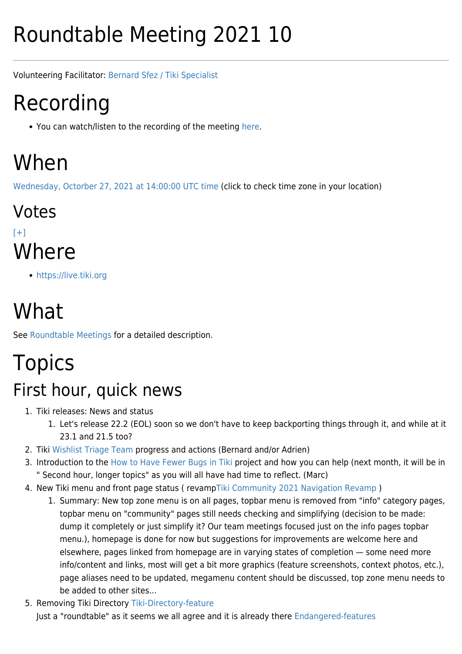# Roundtable Meeting 2021 10

Volunteering Facilitator: [Bernard Sfez / Tiki Specialist](https://tiki.org/user1974)

# Recording

• You can watch/listen to the recording of the meeting [here](https://recordings.rna1.blindsidenetworks.com/citadelrock/d559965849921585c1849af03b7a51638700d979-1635342911405/presentation/).

# When

[Wednesday, Octorber 27, 2021 at 14:00:00 UTC time](https://www.timeanddate.com/worldclock/fixedtime.html?year=2021&month=10&day=27&hour=14&min=0&sec=0) (click to check time zone in your location)

Votes  $[+]$ **Where** 

<https://live.tiki.org>

# What

See [Roundtable Meetings](https://tiki.org/Roundtable-Meetings) for a detailed description.

# Topics

### First hour, quick news

- 1. Tiki releases: News and status
	- 1. Let's release 22.2 (EOL) soon so we don't have to keep backporting things through it, and while at it 23.1 and 21.5 too?
- 2. Tiki [Wishlist Triage Team](https://tiki.org/Wishlist-Triage-Team) progress and actions (Bernard and/or Adrien)
- 3. Introduction to the [How to Have Fewer Bugs in Tiki](http://dev.tiki.org/How%20to%20Have%20Fewer%20Bugs%20in%20Tiki) project and how you can help (next month, it will be in " Second hour, longer topics" as you will all have had time to reflect. (Marc)
- 4. New Tiki menu and front page status ( revamp[Tiki Community 2021 Navigation Revamp](https://tiki.org/Tiki-Community-2021-Navigation-Revamp) )
	- 1. Summary: New top zone menu is on all pages, topbar menu is removed from "info" category pages, topbar menu on "community" pages still needs checking and simplifying (decision to be made: dump it completely or just simplify it? Our team meetings focused just on the info pages topbar menu.), homepage is done for now but suggestions for improvements are welcome here and elsewhere, pages linked from homepage are in varying states of completion — some need more info/content and links, most will get a bit more graphics (feature screenshots, context photos, etc.), page aliases need to be updated, megamenu content should be discussed, top zone menu needs to be added to other sites...
- 5. Removing Tiki Directory [Tiki-Directory-feature](https://tiki.org/forumthread77578-Tiki-Directory-feature) Just a "roundtable" as it seems we all agree and it is already there [Endangered-features](https://dev.tiki.org/Endangered-features#Medium_term)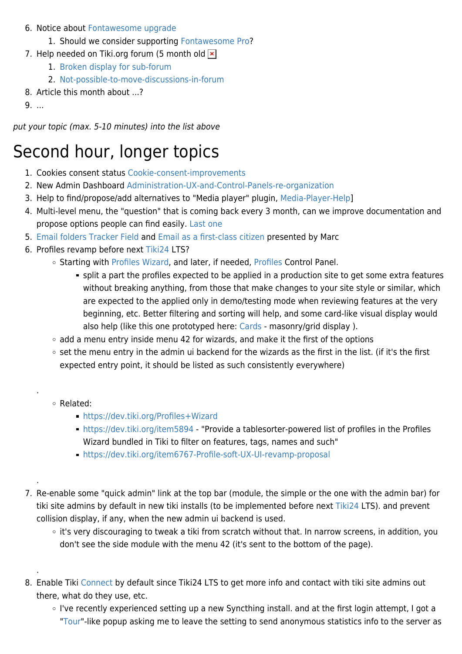#### 6. Notice about [Fontawesome upgrade](https://tiki.org/forumthread77474--SOLVED-Where-are-the-missing-font-awesome-icons)

- 1. Should we consider supporting [Fontawesome Pro?](https://fontawesome.com/plans)
- 7. Help needed on Tiki.org forum (5 month old  $\vert \mathbf{x} \vert$ 
	- 1. [Broken display for sub-forum](https://dev.tiki.org/item7765-Tablesorter-filter-is-misplaced-in-the-forum-should-be-below-the-subforum-list)
	- 2. [Not-possible-to-move-discussions-in-forum](https://dev.tiki.org/item7768-Not-possible-to-move-discussions-in-forum-at-tiki-org?from=Developer-Dashboard)
- 8. Article this month about ...?
- 9. ...

put your topic (max. 5-10 minutes) into the list above

## Second hour, longer topics

- 1. Cookies consent status [Cookie-consent-improvements](https://tiki.org/forumthread77512-Cookie-consent-improvements)
- 2. New Admin Dashboard [Administration-UX-and-Control-Panels-re-organization](https://dev.tiki.org/Administration-UX-and-Control-Panels-re-organization)
- 3. Help to find/propose/add alternatives to "Media player" plugin, [Media-Player-Help\]](https://tiki.org/forumthread77413-Media-Player-Help)
- 4. Multi-level menu, the "question" that is coming back every 3 month, can we improve documentation and propose options people can find easily. [Last one](https://tiki.org/forumthread77528-Horizontal-multi-level-dropdowns)
- 5. [Email folders Tracker Field](http://doc.tiki.org/Email%20folders%20Tracker%20Field) and [Email as a first-class citizen](http://dev.tiki.org/Email%20as%20a%20first-class%20citizen) presented by Marc
- 6. Profiles revamp before next [Tiki24](http://dev.tiki.org/Tiki24) LTS?
	- o Starting with [Profiles Wizard](http://doc.tiki.org/Profiles%20Wizard), and later, if needed, [Profiles](http://doc.tiki.org/Profiles) Control Panel.
		- split a part the profiles expected to be applied in a production site to get some extra features without breaking anything, from those that make changes to your site style or similar, which are expected to the applied only in demo/testing mode when reviewing features at the very beginning, etc. Better filtering and sorting will help, and some card-like visual display would also help (like this one prototyped here: [Cards](http://doc.tiki.org/Cards) - masonry/grid display).
	- $\circ$  add a menu entry inside menu 42 for wizards, and make it the first of the options
	- o set the menu entry in the admin ui backend for the wizards as the first in the list. (if it's the first expected entry point, it should be listed as such consistently everywhere)
	- Related:

.

.

.

- <https://dev.tiki.org/Profiles+Wizard>
- <https://dev.tiki.org/item5894> "Provide a tablesorter-powered list of profiles in the Profiles Wizard bundled in Tiki to filter on features, tags, names and such"
- <https://dev.tiki.org/item6767-Profile-soft-UX-UI-revamp-proposal>
- 7. Re-enable some "quick admin" link at the top bar (module, the simple or the one with the admin bar) for tiki site admins by default in new tiki installs (to be implemented before next [Tiki24](http://doc.tiki.org/Tiki24) LTS). and prevent collision display, if any, when the new admin ui backend is used.
	- it's very discouraging to tweak a tiki from scratch without that. In narrow screens, in addition, you don't see the side module with the menu 42 (it's sent to the bottom of the page).
- 8. Enable Tiki [Connect](http://doc.tiki.org/Connect) by default since Tiki24 LTS to get more info and contact with tiki site admins out there, what do they use, etc.
	- I've recently experienced setting up a new Syncthing install. and at the first login attempt, I got a "[Tour](http://doc.tiki.org/Tour)"-like popup asking me to leave the setting to send anonymous statistics info to the server as